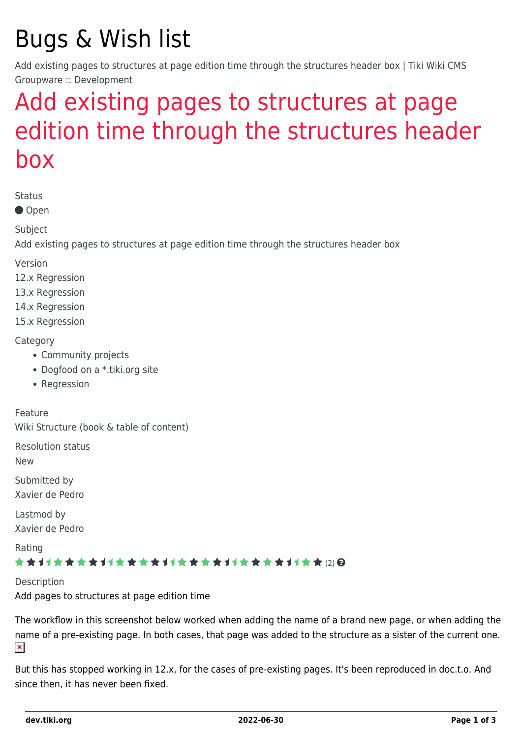# Bugs & Wish list

Add existing pages to structures at page edition time through the structures header box | Tiki Wiki CMS Groupware :: Development

## [Add existing pages to structures at page](https://dev.tiki.org/item5464-Add-existing-pages-to-structures-at-page-edition-time-through-the-structures-header-box) [edition time through the structures header](https://dev.tiki.org/item5464-Add-existing-pages-to-structures-at-page-edition-time-through-the-structures-header-box) [box](https://dev.tiki.org/item5464-Add-existing-pages-to-structures-at-page-edition-time-through-the-structures-header-box)

Status

● Open

Subject

Add existing pages to structures at page edition time through the structures header box

Version

12.x Regression

13.x Regression

14.x Regression

15.x Regression

#### **Category**

- Community projects
- Dogfood on a \*.tiki.org site
- Regression

Feature Wiki Structure (book & table of content)

Resolution status

New

Submitted by Xavier de Pedro

Lastmod by Xavier de Pedro

Rating

#### \*\*\*\*\*\*\*\*\*\*\*\*\*\*\*\*\*\*\*\*\*\*\*\*\*\*\*\*\*\*

**Description** Add pages to structures at page edition time

The workflow in this screenshot below worked when adding the name of a brand new page, or when adding the name of a pre-existing page. In both cases, that page was added to the structure as a sister of the current one.  $\pmb{\times}$ 

But this has stopped working in 12.x, for the cases of pre-existing pages. It's been reproduced in doc.t.o. And since then, it has never been fixed.